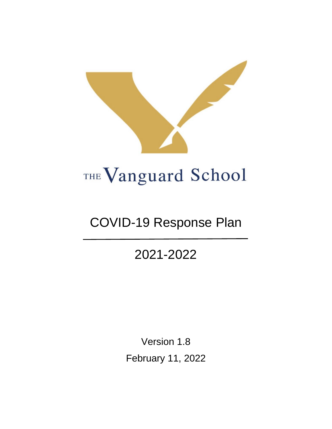

# COVID-19 Response Plan

## 2021-2022

Version 1.8 February 11, 2022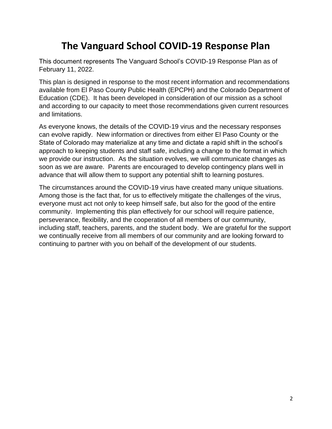## **The Vanguard School COVID-19 Response Plan**

This document represents The Vanguard School's COVID-19 Response Plan as of February 11, 2022.

This plan is designed in response to the most recent information and recommendations available from El Paso County Public Health (EPCPH) and the Colorado Department of Education (CDE). It has been developed in consideration of our mission as a school and according to our capacity to meet those recommendations given current resources and limitations.

As everyone knows, the details of the COVID-19 virus and the necessary responses can evolve rapidly. New information or directives from either El Paso County or the State of Colorado may materialize at any time and dictate a rapid shift in the school's approach to keeping students and staff safe, including a change to the format in which we provide our instruction. As the situation evolves, we will communicate changes as soon as we are aware. Parents are encouraged to develop contingency plans well in advance that will allow them to support any potential shift to learning postures.

The circumstances around the COVID-19 virus have created many unique situations. Among those is the fact that, for us to effectively mitigate the challenges of the virus, everyone must act not only to keep himself safe, but also for the good of the entire community. Implementing this plan effectively for our school will require patience, perseverance, flexibility, and the cooperation of all members of our community, including staff, teachers, parents, and the student body. We are grateful for the support we continually receive from all members of our community and are looking forward to continuing to partner with you on behalf of the development of our students.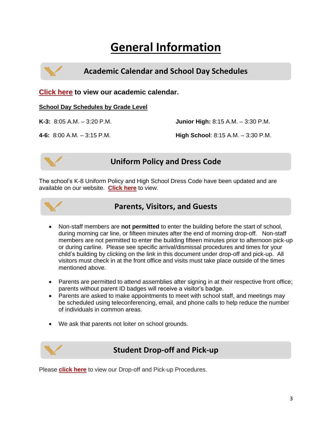## **General Information**

**Academic Calendar and School Day Schedules**

**[Click here](https://www.thevanguardschool.com/wp-content/uploads/2021/2021-2022%20Courser%20Round%20Up/Vanguard%202021-2022%20Academic%20Calendar%20%28board%20approved%204-21-21%3B%20revised%205.10.21%29.pdf) to view our academic calendar.**

#### **School Day Schedules by Grade Level**

**K-3:** 8:05 A.M. – 3:20 P.M.

**Junior High:** 8:15 A.M. – 3:30 P.M.

**4-6:** 8:00 A.M. – 3:15 P.M.

**High School**: 8:15 A.M. – 3:30 P.M.



## **Uniform Policy and Dress Code**

The school's K-8 Uniform Policy and High School Dress Code have been updated and are available on our website. **[Click here](https://www.thevanguardschool.com/about_us/policies_and_procedures/uniform_guidelines/)** to view.



### **Parents, Visitors, and Guests**

- Non-staff members are **not permitted** to enter the building before the start of school, during morning car line, or fifteen minutes after the end of morning drop-off. Non-staff members are not permitted to enter the building fifteen minutes prior to afternoon pick-up or during carline. Please see specific arrival/dismissal procedures and times for your child's building by clicking on the link in this document under drop-off and pick-up. All visitors must check in at the front office and visits must take place outside of the times mentioned above.
- Parents are permitted to attend assemblies after signing in at their respective front office; parents without parent ID badges will receive a visitor's badge.
- Parents are asked to make appointments to meet with school staff, and meetings may be scheduled using teleconferencing, email, and phone calls to help reduce the number of individuals in common areas.
- We ask that parents not loiter on school grounds.



### **Student Drop-off and Pick-up**

Please **[click here](https://www.thevanguardschool.com/about_us/policies_and_procedures/student_dropoff_pickup/)** to view our Drop-off and Pick-up Procedures.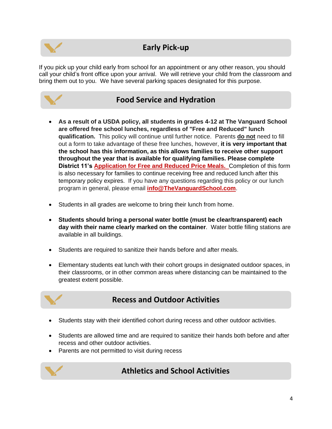

## **Early Pick-up**

If you pick up your child early from school for an appointment or any other reason, you should call your child's front office upon your arrival. We will retrieve your child from the classroom and bring them out to you. We have several parking spaces designated for this purpose.

### **Food Service and Hydration**

- **As a result of a USDA policy, all students in grades 4-12 at The Vanguard School are offered free school lunches, regardless of "Free and Reduced" lunch qualification.** This policy will continue until further notice. Parents **do not** need to fill out a form to take advantage of these free lunches, however, **it is very important that the school has this information, as this allows families to receive other support throughout the year that is available for qualifying families. Please complete District 11's [Application for Free and Reduced Price Meals.](https://www.d11.org/Page/2052)** Completion of this form is also necessary for families to continue receiving free and reduced lunch after this temporary policy expires. If you have any questions regarding this policy or our lunch program in general, please email **[info@TheVanguardSchool.com](mailto:info@thevanguardschool.com)**.
- Students in all grades are welcome to bring their lunch from home.
- **Students should bring a personal water bottle (must be clear/transparent) each day with their name clearly marked on the container**. Water bottle filling stations are available in all buildings.
- Students are required to sanitize their hands before and after meals.
- Elementary students eat lunch with their cohort groups in designated outdoor spaces, in their classrooms, or in other common areas where distancing can be maintained to the greatest extent possible.

## **Recess and Outdoor Activities**

- Students stay with their identified cohort during recess and other outdoor activities.
- Students are allowed time and are required to sanitize their hands both before and after recess and other outdoor activities.
- Parents are not permitted to visit during recess



## **Athletics and School Activities**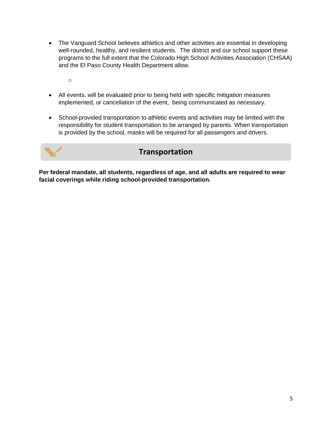- The Vanguard School believes athletics and other activities are essential in developing well-rounded, healthy, and resilient students. The district and our school support these programs to the full extent that the Colorado High School Activities Association (CHSAA) and the El Paso County Health Department allow.
	- o
- All events. will be evaluated prior to being held with specific mitigation measures implemented, or cancellation of the event, being communicated as necessary.
- School-provided transportation to athletic events and activities may be limited with the responsibility for student transportation to be arranged by parents. When transportation is provided by the school, masks will be required for all passengers and drivers.



**Per federal mandate, all students, regardless of age, and all adults are required to wear facial coverings while riding school-provided transportation.**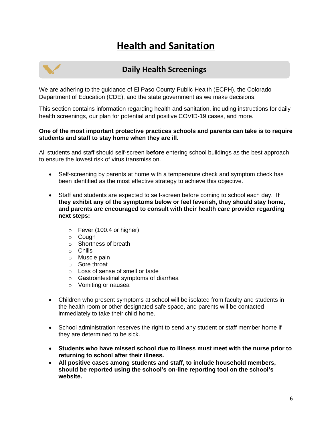## **Health and Sanitation**



### **Daily Health Screenings**

We are adhering to the guidance of El Paso County Public Health (ECPH), the Colorado Department of Education (CDE), and the state government as we make decisions.

This section contains information regarding health and sanitation, including instructions for daily health screenings, our plan for potential and positive COVID-19 cases, and more.

#### **One of the most important protective practices schools and parents can take is to require students and staff to stay home when they are ill.**

All students and staff should self-screen **before** entering school buildings as the best approach to ensure the lowest risk of virus transmission.

- Self-screening by parents at home with a temperature check and symptom check has been identified as the most effective strategy to achieve this objective.
- Staff and students are expected to self-screen before coming to school each day. **If they exhibit any of the symptoms below or feel feverish, they should stay home, and parents are encouraged to consult with their health care provider regarding next steps:**
	- $\circ$  Fever (100.4 or higher)
	- o Cough
	- o Shortness of breath
	- o Chills
	- o Muscle pain
	- o Sore throat
	- o Loss of sense of smell or taste
	- o Gastrointestinal symptoms of diarrhea
	- o Vomiting or nausea
- Children who present symptoms at school will be isolated from faculty and students in the health room or other designated safe space, and parents will be contacted immediately to take their child home.
- School administration reserves the right to send any student or staff member home if they are determined to be sick.
- **Students who have missed school due to illness must meet with the nurse prior to returning to school after their illness.**
- **All positive cases among students and staff, to include household members, should be reported using the school's on-line reporting tool on the school's website.**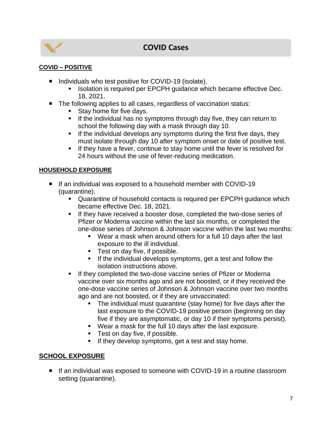

## **COVID Cases**

#### **COVID – POSITIVE**

- Individuals who test positive for COVID-19 (isolate).
	- Isolation is required per EPCPH guidance which became effective Dec. 18, 2021.
- The following applies to all cases, regardless of vaccination status:
	- Stay home for five days.
	- **E** If the individual has no symptoms through day five, they can return to school the following day with a mask through day 10.
	- **EXECT** If the individual develops any symptoms during the first five days, they must isolate through day 10 after symptom onset or date of positive test.
	- **.** If they have a fever, continue to stay home until the fever is resolved for 24 hours without the use of fever-reducing medication.

#### **HOUSEHOLD EXPOSURE**

- If an individual was exposed to a household member with COVID-19 (quarantine).
	- Quarantine of household contacts is required per EPCPH guidance which became effective Dec. 18, 2021.
	- **EXECT** If they have received a booster dose, completed the two-dose series of Pfizer or Moderna vaccine within the last six months, or completed the one-dose series of Johnson & Johnson vaccine within the last two months:
		- Wear a mask when around others for a full 10 days after the last exposure to the ill individual.
		- Test on day five, if possible.
		- **EXT** If the individual develops symptoms, get a test and follow the isolation instructions above.
	- **EXECT** If they completed the two-dose vaccine series of Pfizer or Moderna vaccine over six months ago and are not boosted, or if they received the one-dose vaccine series of Johnson & Johnson vaccine over two months ago and are not boosted, or if they are unvaccinated:
		- **•** The individual must quarantine (stay home) for five days after the last exposure to the COVID-19 positive person (beginning on day five if they are asymptomatic, or day 10 if their symptoms persist).
		- Wear a mask for the full 10 days after the last exposure.
		- Test on day five, if possible.
		- **E** If they develop symptoms, get a test and stay home.

#### **SCHOOL EXPOSURE**

■ If an individual was exposed to someone with COVID-19 in a routine classroom setting (quarantine).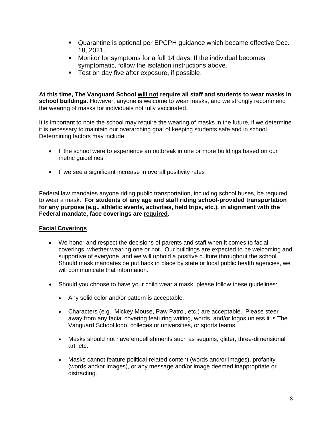- Quarantine is optional per EPCPH guidance which became effective Dec. 18, 2021.
- Monitor for symptoms for a full 14 days. If the individual becomes symptomatic, follow the isolation instructions above.
- Test on day five after exposure, if possible.

**At this time, The Vanguard School will not require all staff and students to wear masks in school buildings.** However, anyone is welcome to wear masks, and we strongly recommend the wearing of masks for individuals not fully vaccinated.

It is important to note the school may require the wearing of masks in the future, if we determine it is necessary to maintain our overarching goal of keeping students safe and in school. Determining factors may include:

- If the school were to experience an outbreak in one or more buildings based on our metric guidelines
- If we see a significant increase in overall positivity rates

Federal law mandates anyone riding public transportation, including school buses, be required to wear a mask. **For students of any age and staff riding school-provided transportation for any purpose (e.g., athletic events, activities, field trips, etc.), in alignment with the Federal mandate, face coverings are required**.

#### **Facial Coverings**

- We honor and respect the decisions of parents and staff when it comes to facial coverings, whether wearing one or not. Our buildings are expected to be welcoming and supportive of everyone, and we will uphold a positive culture throughout the school. Should mask mandates be put back in place by state or local public health agencies, we will communicate that information.
- Should you choose to have your child wear a mask, please follow these guidelines:
	- Any solid color and/or pattern is acceptable.
	- Characters (e.g., Mickey Mouse, Paw Patrol, etc.) are acceptable. Please steer away from any facial covering featuring writing, words, and/or logos unless it is The Vanguard School logo, colleges or universities, or sports teams.
	- Masks should not have embellishments such as sequins, glitter, three-dimensional art, etc.
	- Masks cannot feature political-related content (words and/or images), profanity (words and/or images), or any message and/or image deemed inappropriate or distracting.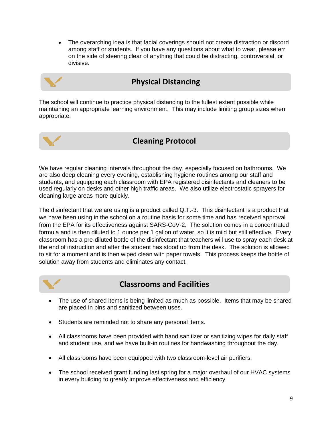• The overarching idea is that facial coverings should not create distraction or discord among staff or students. If you have any questions about what to wear, please err on the side of steering clear of anything that could be distracting, controversial, or divisive.

### **Physical Distancing**

The school will continue to practice physical distancing to the fullest extent possible while maintaining an appropriate learning environment. This may include limiting group sizes when appropriate.



## **Cleaning Protocol**

We have regular cleaning intervals throughout the day, especially focused on bathrooms. We are also deep cleaning every evening, establishing hygiene routines among our staff and students, and equipping each classroom with EPA registered disinfectants and cleaners to be used regularly on desks and other high traffic areas. We also utilize electrostatic sprayers for cleaning large areas more quickly.

The disinfectant that we are using is a product called Q.T.-3. This disinfectant is a product that we have been using in the school on a routine basis for some time and has received approval from the EPA for its effectiveness against SARS-CoV-2. The solution comes in a concentrated formula and is then diluted to 1 ounce per 1 gallon of water, so it is mild but still effective. Every classroom has a pre-diluted bottle of the disinfectant that teachers will use to spray each desk at the end of instruction and after the student has stood up from the desk. The solution is allowed to sit for a moment and is then wiped clean with paper towels. This process keeps the bottle of solution away from students and eliminates any contact.



## **Classrooms and Facilities**

- The use of shared items is being limited as much as possible. Items that may be shared are placed in bins and sanitized between uses.
- Students are reminded not to share any personal items.
- All classrooms have been provided with hand sanitizer or sanitizing wipes for daily staff and student use, and we have built-in routines for handwashing throughout the day.
- All classrooms have been equipped with two classroom-level air purifiers.
- The school received grant funding last spring for a major overhaul of our HVAC systems in every building to greatly improve effectiveness and efficiency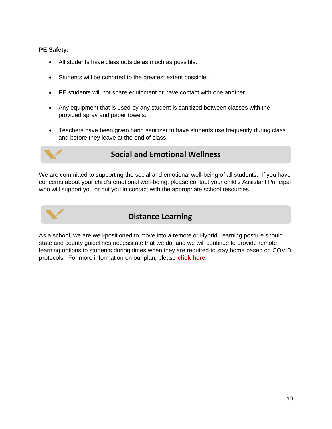#### **PE Safety:**

- All students have class outside as much as possible.
- Students will be cohorted to the greatest extent possible. .
- PE students will not share equipment or have contact with one another.
- Any equipment that is used by any student is sanitized between classes with the provided spray and paper towels.
- Teachers have been given hand sanitizer to have students use frequently during class and before they leave at the end of class.



## **Social and Emotional Wellness**

We are committed to supporting the social and emotional well-being of all students. If you have concerns about your child's emotional well-being, please contact your child's Assistant Principal who will support you or put you in contact with the appropriate school resources.



## **Distance Learning**

As a school, we are well-positioned to move into a remote or Hybrid Learning posture should state and county guidelines necessitate that we do, and we will continue to provide remote learning options to students during times when they are required to stay home based on COVID protocols. For more information on our plan, please **[click here](https://www.thevanguardschool.com/covid-19-response/distance-learning/)**.